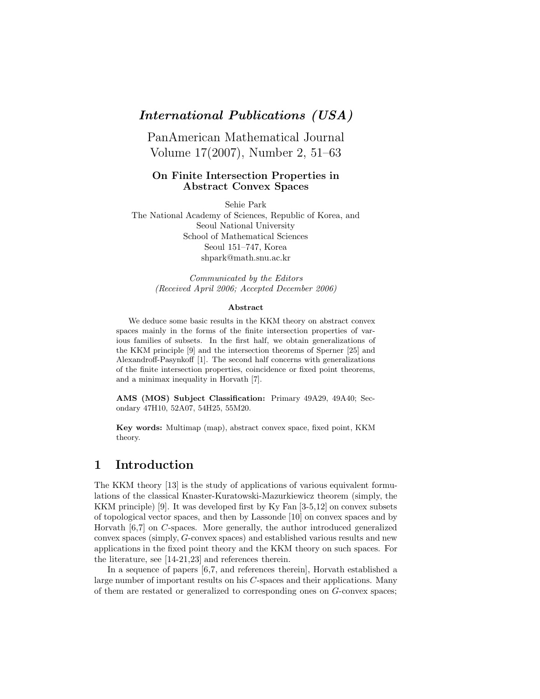### *International Publications (USA)*

PanAmerican Mathematical Journal Volume 17(2007), Number 2, 51–63

#### **On Finite Intersection Properties in Abstract Convex Spaces**

Sehie Park The National Academy of Sciences, Republic of Korea, and Seoul National University School of Mathematical Sciences Seoul 151–747, Korea shpark@math.snu.ac.kr

> *Communicated by the Editors (Received April 2006; Accepted December 2006)*

#### **Abstract**

We deduce some basic results in the KKM theory on abstract convex spaces mainly in the forms of the finite intersection properties of various families of subsets. In the first half, we obtain generalizations of the KKM principle [9] and the intersection theorems of Sperner [25] and Alexandroff-Pasynkoff [1]. The second half concerns with generalizations of the finite intersection properties, coincidence or fixed point theorems, and a minimax inequality in Horvath [7].

**AMS (MOS) Subject Classification:** Primary 49A29, 49A40; Secondary 47H10, 52A07, 54H25, 55M20.

**Key words:** Multimap (map), abstract convex space, fixed point, KKM theory.

### **1 Introduction**

The KKM theory [13] is the study of applications of various equivalent formulations of the classical Knaster-Kuratowski-Mazurkiewicz theorem (simply, the KKM principle) [9]. It was developed first by Ky Fan [3-5,12] on convex subsets of topological vector spaces, and then by Lassonde [10] on convex spaces and by Horvath [6,7] on *C*-spaces. More generally, the author introduced generalized convex spaces (simply, *G*-convex spaces) and established various results and new applications in the fixed point theory and the KKM theory on such spaces. For the literature, see [14-21,23] and references therein.

In a sequence of papers [6,7, and references therein], Horvath established a large number of important results on his *C*-spaces and their applications. Many of them are restated or generalized to corresponding ones on *G*-convex spaces;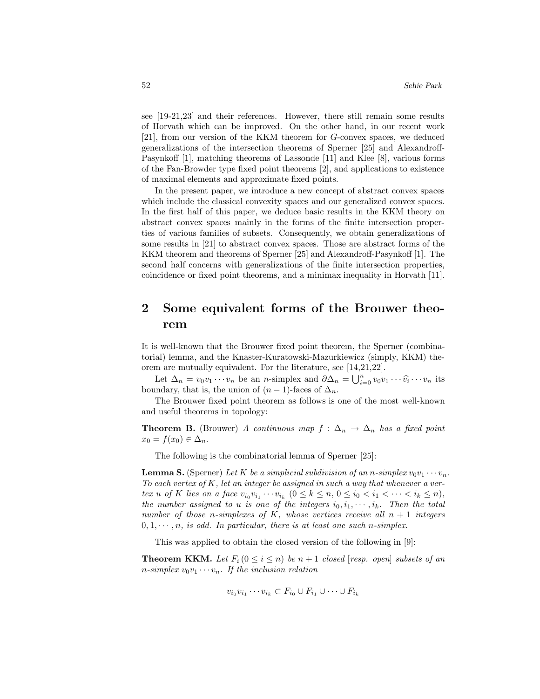see [19-21,23] and their references. However, there still remain some results of Horvath which can be improved. On the other hand, in our recent work [21], from our version of the KKM theorem for *G*-convex spaces, we deduced generalizations of the intersection theorems of Sperner [25] and Alexandroff-Pasynkoff [1], matching theorems of Lassonde [11] and Klee [8], various forms of the Fan-Browder type fixed point theorems [2], and applications to existence of maximal elements and approximate fixed points.

In the present paper, we introduce a new concept of abstract convex spaces which include the classical convexity spaces and our generalized convex spaces. In the first half of this paper, we deduce basic results in the KKM theory on abstract convex spaces mainly in the forms of the finite intersection properties of various families of subsets. Consequently, we obtain generalizations of some results in [21] to abstract convex spaces. Those are abstract forms of the KKM theorem and theorems of Sperner [25] and Alexandroff-Pasynkoff [1]. The second half concerns with generalizations of the finite intersection properties, coincidence or fixed point theorems, and a minimax inequality in Horvath [11].

# **2 Some equivalent forms of the Brouwer theorem**

It is well-known that the Brouwer fixed point theorem, the Sperner (combinatorial) lemma, and the Knaster-Kuratowski-Mazurkiewicz (simply, KKM) theorem are mutually equivalent. For the literature, see [14,21,22].

Let  $\Delta_n = v_0 v_1 \cdots v_n$  be an *n*-simplex and  $\partial \Delta_n = \bigcup_{i=0}^n v_0 v_1 \cdots \widehat{v}_i \cdots v_n$  its boundary, that is, the union of  $(n-1)$ -faces of  $\Delta_n$ .

The Brouwer fixed point theorem as follows is one of the most well-known and useful theorems in topology:

**Theorem B.** (Brouwer) *A continuous map*  $f : \Delta_n \to \Delta_n$  *has a fixed point*  $x_0 = f(x_0) \in \Delta_n$ .

The following is the combinatorial lemma of Sperner [25]:

**Lemma S.** (Sperner) Let K be a simplicial subdivision of an *n*-simplex  $v_0v_1 \cdots v_n$ . *To each vertex of K, let an integer be assigned in such a way that whenever a vertex u of K lies on a face*  $v_{i_0}v_{i_1}\cdots v_{i_k}$   $(0 \leq k \leq n, 0 \leq i_0 < i_1 < \cdots < i_k \leq n)$ , *the number assigned to u is one of the integers*  $i_0, i_1, \dots, i_k$ *. Then the total number of those n-simplexes of K, whose vertices receive all n* + 1 *integers*  $0, 1, \cdots, n$ , is odd. In particular, there is at least one such *n*-simplex.

This was applied to obtain the closed version of the following in [9]:

**Theorem KKM.** Let  $F_i$   $(0 \leq i \leq n)$  be  $n+1$  closed [resp. open] subsets of an *n*-simplex  $v_0v_1 \cdots v_n$ *. If the inclusion relation* 

$$
v_{i_0}v_{i_1}\cdots v_{i_k}\subset F_{i_0}\cup F_{i_1}\cup\cdots\cup F_{i_k}
$$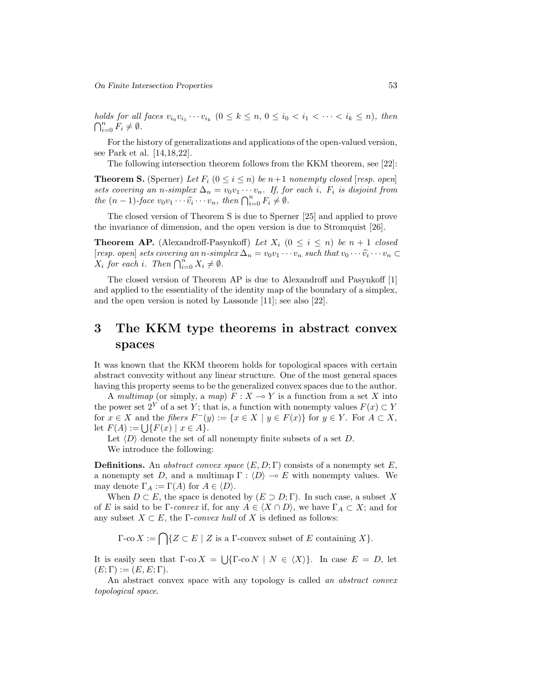*holds for all faces*  $v_{i_0}v_{i_1}\cdots v_{i_k}$   $(0 \leq k \leq n, 0 \leq i_0 < i_1 < \cdots < i_k \leq n)$ , then  $\bigcap_{i=0}^n F_i \neq \emptyset$ .

For the history of generalizations and applications of the open-valued version, see Park et al. [14,18,22].

The following intersection theorem follows from the KKM theorem, see [22]:

**Theorem S.** (Sperner) Let  $F_i$   $(0 \leq i \leq n)$  be  $n+1$  *nonempty closed* [*resp. open*] *sets covering an n-simplex*  $\Delta_n = v_0 v_1 \cdots v_n$ *. If, for each i, F<sub>i</sub> is disjoint from the*  $(n-1)$ *-face*  $v_0v_1 \cdots \widehat{v_i} \cdots v_n$ *, then*  $\bigcap_{i=0}^n F_i \neq \emptyset$ *.* 

The closed version of Theorem S is due to Sperner [25] and applied to prove the invariance of dimension, and the open version is due to Stromquist [26].

**Theorem AP.** (Alexandroff-Pasynkoff) *Let*  $X_i$  ( $0 \leq i \leq n$ ) *be*  $n + 1$  *closed*  $[resp. open] sets covering an n-simplex \Delta_n = v_0v_1 \cdots v_n such that v_0 \cdots \widehat{v_i} \cdots v_n \subset$  $X_i$  *for each i. Then*  $\bigcap_{i=0}^n X_i \neq \emptyset$ *.* 

The closed version of Theorem AP is due to Alexandroff and Pasynkoff [1] and applied to the essentiality of the identity map of the boundary of a simplex, and the open version is noted by Lassonde [11]; see also [22].

# **3 The KKM type theorems in abstract convex spaces**

It was known that the KKM theorem holds for topological spaces with certain abstract convexity without any linear structure. One of the most general spaces having this property seems to be the generalized convex spaces due to the author.

A *multimap* (or simply, a *map*)  $F: X \to Y$  is a function from a set X into the power set  $2^Y$  of a set *Y*; that is, a function with nonempty values  $F(x) \subset Y$ for  $x \in X$  and the *fibers*  $F^-(y) := \{x \in X \mid y \in F(x)\}$  for  $y \in Y$ . For  $A \subset X$ , let  $F(A) := \{ |F(x)| \mid x \in A \}.$ 

Let  $\langle D \rangle$  denote the set of all nonempty finite subsets of a set *D*. We introduce the following:

**Definitions.** An *abstract convex space*  $(E, D; \Gamma)$  consists of a nonempty set *E*, a nonempty set *D*, and a multimap  $\Gamma : \langle D \rangle \to E$  with nonempty values. We may denote  $\Gamma_A := \Gamma(A)$  for  $A \in \langle D \rangle$ .

When  $D \subset E$ , the space is denoted by  $(E \supset D; \Gamma)$ . In such case, a subset X of *E* is said to be Γ-*convex* if, for any  $A \in \langle X \cap D \rangle$ , we have  $\Gamma_A \subset X$ ; and for any subset  $X \subset E$ , the *Γ-convex hull* of *X* is defined as follows:

 $\Gamma$ -co  $X := \bigcap \{Z \subset E \mid Z \text{ is a } \Gamma\text{-convex subset of } E \text{ containing } X\}.$ 

It is easily seen that  $\Gamma$ -co  $X = \left[ \begin{array}{c} | \Gamma \text{-}\text{co } N \end{array} \right] \cup N \in \langle X \rangle$ . In case  $E = D$ , let  $(E; \Gamma) := (E, E; \Gamma).$ 

An abstract convex space with any topology is called *an abstract convex topological space*.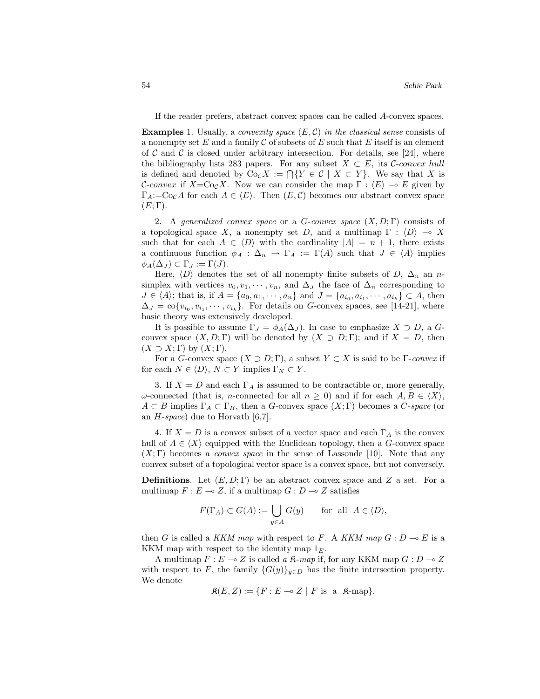If the reader prefers, abstract convex spaces can be called *A*-convex spaces.

**Examples** 1. Usually, a *convexity space* (*E,* C) *in the classical sense* consists of a nonempty set *E* and a family C of subsets of *E* such that *E* itself is an element of C and C is closed under arbitrary intersection. For details, see [24], where the bibliography lists 283 papers. For any subset  $X \subset E$ , its C-convex hull is defined and denoted by  $\text{Co}_{\mathcal{C}}X := \bigcap \{Y \in \mathcal{C} \mid X \subset Y\}.$  We say that X is *C*-convex if  $X = \text{Co}_\mathcal{C} X$ . Now we can consider the map  $\Gamma : \langle E \rangle \to E$  given by  $\Gamma_A$ :=Co<sub>C</sub>A for each  $A \in \langle E \rangle$ . Then  $(E, C)$  becomes our abstract convex space  $(E; \Gamma)$ .

2. A *generalized convex space* or a *G*-*convex space* (*X, D*; Γ) consists of a topological space *X*, a nonempty set *D*, and a multimap  $\Gamma : \langle D \rangle \to X$ such that for each  $A \in \langle D \rangle$  with the cardinality  $|A| = n + 1$ , there exists a continuous function  $\phi_A : \Delta_n \to \Gamma_A := \Gamma(A)$  such that  $J \in \langle A \rangle$  implies  $\phi_A(\Delta_J) \subset \Gamma_J := \Gamma(J).$ 

Here,  $\langle D \rangle$  denotes the set of all nonempty finite subsets of *D*,  $\Delta_n$  an *n*simplex with vertices  $v_0, v_1, \dots, v_n$ , and  $\Delta_J$  the face of  $\Delta_n$  corresponding to *J* ∈  $\langle A \rangle$ ; that is, if *A* = {*a*<sub>0</sub>*, a*<sub>1</sub>*,* ··· *, a<sub>n</sub>*} and *J* = {*a*<sub>*i*<sub>0</sub></sub>*, a*<sub>*i*<sub>1</sub></sub>} ⊂ *A*, then  $\Delta_J = \text{co}\{v_{i_0}, v_{i_1}, \cdots, v_{i_k}\}.$  For details on *G*-convex spaces, see [14-21], where basic theory was extensively developed.

It is possible to assume  $\Gamma_J = \phi_A(\Delta_J)$ . In case to emphasize  $X \supset D$ , a *G*convex space  $(X, D; \Gamma)$  will be denoted by  $(X \supset D; \Gamma)$ ; and if  $X = D$ , then  $(X \supset X; \Gamma)$  by  $(X; \Gamma)$ .

For a *G*-convex space  $(X \supset D; \Gamma)$ , a subset  $Y \subset X$  is said to be  $\Gamma$ -convex if for each  $N \in \langle D \rangle$ ,  $N \subset Y$  implies  $\Gamma_N \subset Y$ .

3. If  $X = D$  and each  $\Gamma_A$  is assumed to be contractible or, more generally, *ω*-connected (that is, *n*-connected for all  $n \geq 0$ ) and if for each  $A, B \in \langle X \rangle$ ,  $A \subset B$  implies  $\Gamma_A \subset \Gamma_B$ , then a *G*-convex space  $(X;\Gamma)$  becomes a *C-space* (or an *H*-*space*) due to Horvath [6,7].

4. If  $X = D$  is a convex subset of a vector space and each  $\Gamma_A$  is the convex hull of  $A \in \langle X \rangle$  equipped with the Euclidean topology, then a *G*-convex space (*X*; Γ) becomes a *convex space* in the sense of Lassonde [10]. Note that any convex subset of a topological vector space is a convex space, but not conversely.

**Definitions.** Let  $(E, D; \Gamma)$  be an abstract convex space and *Z* a set. For a multimap  $F: E \to Z$ , if a multimap  $G: D \to Z$  satisfies

$$
F(\Gamma_A) \subset G(A) := \bigcup_{y \in A} G(y) \quad \text{for all } A \in \langle D \rangle,
$$

then *G* is called a *KKM map* with respect to *F*. A *KKM map*  $G: D \to E$  is a KKM map with respect to the identity map 1*E*.

A multimap  $F: E \to Z$  is called a  $\mathcal{R}$ -map if, for any KKM map  $G: D \to Z$ with respect to *F*, the family  ${G(y)}_{y\in D}$  has the finite intersection property. We denote

$$
\mathfrak{K}(E, Z) := \{ F : E \multimap Z \mid F \text{ is a } \mathfrak{K}\text{-map} \}.
$$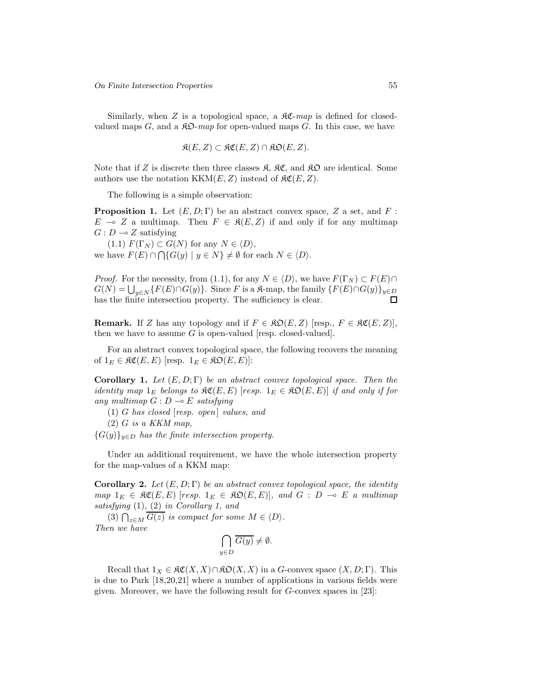Similarly, when *Z* is a topological space, a  $\mathcal{RC}$ -map is defined for closedvalued maps  $G$ , and a  $\mathcal{R}D$ -map for open-valued maps  $G$ . In this case, we have

$$
\mathfrak{K}(E, Z) \subset \mathfrak{KC}(E, Z) \cap \mathfrak{KD}(E, Z).
$$

Note that if *Z* is discrete then three classes  $\mathcal{R}, \mathcal{RC},$  and  $\mathcal{RD}$  are identical. Some authors use the notation  $KKM(E, Z)$  instead of  $\mathcal{RC}(E, Z)$ .

The following is a simple observation:

**Proposition 1.** Let  $(E, D; \Gamma)$  be an abstract convex space, Z a set, and F:  $E \multimap Z$  a multimap. Then  $F \in \mathfrak{K}(E, Z)$  if and only if for any multimap  $G: D \longrightarrow Z$  satisfying

 $(T.1)$   $F(\Gamma_N) \subset G(N)$  for any  $N \in \langle D \rangle$ , we have  $F(E) \cap \bigcap \{G(y) \mid y \in N\} \neq \emptyset$  for each  $N \in \langle D \rangle$ .

*Proof.* For the necessity, from (1.1), for any  $N \in \langle D \rangle$ , we have  $F(\Gamma_N) \subset F(E) \cap$  $G(N) = \bigcup_{y \in N} \{F(E) \cap G(y)\}.$  Since *F* is a *K*-map, the family  $\{F(E) \cap G(y)\}_{y \in D}$ has the finite intersection property. The sufficiency is clear.

**Remark.** If *Z* has any topology and if  $F \in \mathfrak{RO}(E, Z)$  [resp.,  $F \in \mathfrak{RC}(E, Z)$ ], then we have to assume  $G$  is open-valued [resp. closed-valued].

For an abstract convex topological space, the following recovers the meaning of  $1_E \in \mathfrak{RC}(E, E)$  [resp.  $1_E \in \mathfrak{RO}(E, E)$ ]:

**Corollary 1.** *Let* (*E,D*; Γ) *be an abstract convex topological space. Then the identity map*  $1_E$  *belongs to*  $\mathcal{RC}(E, E)$  [*resp.*  $1_E \in \mathcal{RD}(E, E)$ ] *if and only if for any multimap*  $G: D \to E$  *satisfying* 

- $(1)$  *G* has closed [*resp. open*] *values, and*
- (2) *G is a KKM map,*

 ${G(y)}_{y \in D}$  *has the finite intersection property.* 

Under an additional requirement, we have the whole intersection property for the map-values of a KKM map:

**Corollary 2.** *Let* (*E,D*; Γ) *be an abstract convex topological space, the identity*  $map$   $1_E \in \mathfrak{RC}(E, E)$  [*resp.*  $1_E \in \mathfrak{RO}(E, E)$ ], and  $G : D \multimap E$  *a multimap satisfying* (1)*,* (2) *in Corollary 1, and*

(3)  $\bigcap_{z \in M} \overline{G(z)}$  *is compact for some*  $M \in \langle D \rangle$ *. Then we have*

$$
\bigcap_{y \in D} \overline{G(y)} \neq \emptyset.
$$

Recall that  $1_X \in \mathfrak{RC}(X,X) \cap \mathfrak{KO}(X,X)$  in a *G*-convex space  $(X,D;\Gamma)$ . This is due to Park [18,20,21] where a number of applications in various fields were given. Moreover, we have the following result for *G*-convex spaces in [23]: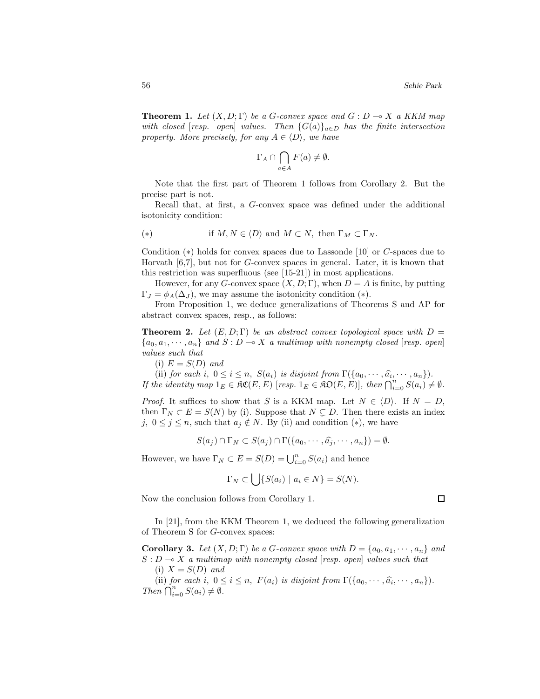**Theorem 1.** *Let*  $(X, D; \Gamma)$  *be a G-convex space and*  $G: D \to X$  *a KKM map with closed* [*resp. open*] *values.* Then  $\{G(a)\}_{a \in D}$  *has the finite intersection property. More precisely, for any*  $A \in \langle D \rangle$ *, we have* 

$$
\Gamma_A \cap \bigcap_{a \in A} F(a) \neq \emptyset.
$$

Note that the first part of Theorem 1 follows from Corollary 2. But the precise part is not.

Recall that, at first, a *G*-convex space was defined under the additional isotonicity condition:

(∗) if *M,N* ∈ h*D*i and *M* ⊂ *N,* then Γ*<sup>M</sup>* ⊂ Γ*<sup>N</sup> .*

Condition (∗) holds for convex spaces due to Lassonde [10] or *C*-spaces due to Horvath [6,7], but not for *G*-convex spaces in general. Later, it is known that this restriction was superfluous (see [15-21]) in most applications.

However, for any *G*-convex space  $(X, D; \Gamma)$ , when  $D = A$  is finite, by putting  $\Gamma_J = \phi_A(\Delta_J)$ , we may assume the isotonicity condition (\*).

From Proposition 1, we deduce generalizations of Theorems S and AP for abstract convex spaces, resp., as follows:

**Theorem 2.** Let  $(E, D; \Gamma)$  be an abstract convex topological space with  $D =$  ${a_0, a_1, \dots, a_n}$  *and*  $S: D \to X$  *a multimap with nonempty closed* [*resp. open*] *values such that*

 $(i)$   $E = S(D)$  *and* 

(ii) *for each i*,  $0 \leq i \leq n$ ,  $S(a_i)$  *is disjoint from*  $\Gamma(\{a_0, \dots, \hat{a_i}, \dots, a_n\})$ *. If the identity map*  $1_E \in \mathfrak{RC}(E, E)$  [*resp.*  $1_E \in \mathfrak{RO}(E, E)$ ], then  $\bigcap_{i=0}^n S(a_i) \neq \emptyset$ .

*Proof.* It suffices to show that *S* is a KKM map. Let  $N \in \langle D \rangle$ . If  $N = D$ , then  $\Gamma_N \subset E = S(N)$  by (i). Suppose that  $N \subsetneq D$ . Then there exists an index *j*,  $0 \leq j \leq n$ , such that  $a_j \notin N$ . By (ii) and condition (\*), we have

$$
S(a_j) \cap \Gamma_N \subset S(a_j) \cap \Gamma(\{a_0, \cdots, \widehat{a_j}, \cdots, a_n\}) = \emptyset.
$$

However, we have  $\Gamma_N \subset E = S(D) = \bigcup_{i=0}^n S(a_i)$  and hence

$$
\Gamma_N \subset \left\{ \left| \left\{ S(a_i) \mid a_i \in N \right\} \right| = S(N).
$$

Now the conclusion follows from Corollary 1.

In [21], from the KKM Theorem 1, we deduced the following generalization of Theorem S for *G*-convex spaces:

**Corollary 3.** Let  $(X, D; \Gamma)$  be a *G*-convex space with  $D = \{a_0, a_1, \dots, a_n\}$  and  $S: D \to X$  *a multimap with nonempty closed* [*resp. open*] *values such that*  $(i)$   $Y = S(D)$  *and* 

$$
(1) \Delta = \mathcal{S}(D) \text{ and}
$$

(ii) *for each i*,  $0 \leq i \leq n$ ,  $F(a_i)$  *is disjoint from*  $\Gamma(\{a_0, \dots, \hat{a_i}, \dots, a_n\})$ .  $\overrightarrow{Then} \bigcap_{i=0}^{n} S(a_i) \neq \emptyset.$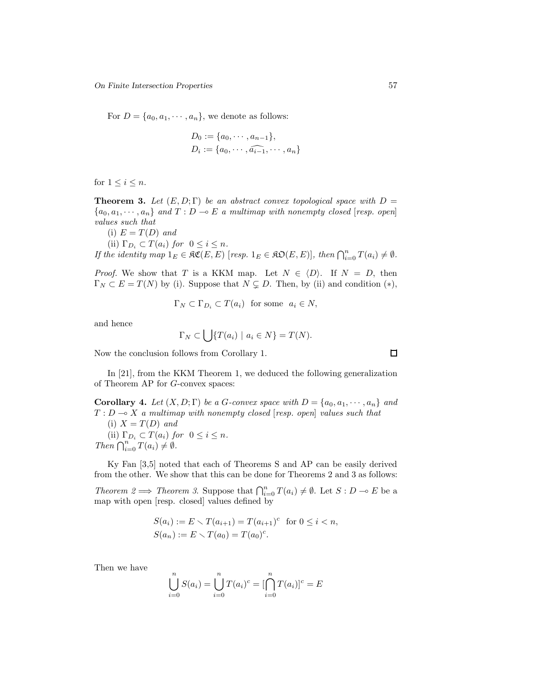For  $D = \{a_0, a_1, \dots, a_n\}$ , we denote as follows:

$$
D_0 := \{a_0, \cdots, a_{n-1}\},
$$
  
\n
$$
D_i := \{a_0, \cdots, a_{i-1}, \cdots, a_n\}
$$

for  $1 \leq i \leq n$ .

**Theorem 3.** *Let*  $(E, D; \Gamma)$  *be an abstract convex topological space with*  $D =$  ${a_0, a_1, \cdots, a_n}$  *and*  $T : D \multimap E$  *a multimap with nonempty closed* [*resp. open*] *values such that*

(i)  $E = T(D)$  *and* 

(ii)  $\Gamma_{D_i} \subset T(a_i)$  *for*  $0 \le i \le n$ *.* 

*If the identity map*  $1_E \in \mathfrak{RC}(E, E)$  [*resp.*  $1_E \in \mathfrak{RO}(E, E)$ ], then  $\bigcap_{i=0}^n T(a_i) \neq \emptyset$ .

*Proof.* We show that *T* is a KKM map. Let  $N \in \langle D \rangle$ . If  $N = D$ , then  $\Gamma_N \subset E = T(N)$  by (i). Suppose that  $N \subsetneq D$ . Then, by (ii) and condition (\*),

$$
\Gamma_N \subset \Gamma_{D_i} \subset T(a_i) \text{ for some } a_i \in N,
$$

and hence

$$
\Gamma_N \subset \bigcup \{ T(a_i) \mid a_i \in N \} = T(N).
$$

Now the conclusion follows from Corollary 1.

In [21], from the KKM Theorem 1, we deduced the following generalization of Theorem AP for *G*-convex spaces:

**Corollary 4.** Let  $(X, D; \Gamma)$  be a *G*-convex space with  $D = \{a_0, a_1, \dots, a_n\}$  and  $T: D \rightarrow X$  *a multimap with nonempty closed* [*resp. open*] *values such that* 

 $(i)$   $X = T(D)$  *and* (ii)  $\Gamma_{D_i} \subset T(a_i)$  *for*  $0 \leq i \leq n$ *.*  $Then \bigcap_{i=0}^{n} T(a_i) \neq \emptyset.$ 

Ky Fan [3,5] noted that each of Theorems S and AP can be easily derived from the other. We show that this can be done for Theorems 2 and 3 as follows:

*Theorem 2*  $\implies$  *Theorem 3*. Suppose that  $\bigcap_{i=0}^{n} T(a_i) \neq \emptyset$ . Let  $S: D \multimap E$  be a map with open [resp. closed] values defined by

$$
S(a_i) := E \setminus T(a_{i+1}) = T(a_{i+1})^c \text{ for } 0 \le i < n,
$$
  
\n
$$
S(a_n) := E \setminus T(a_0) = T(a_0)^c.
$$

Then we have

$$
\bigcup_{i=0}^{n} S(a_i) = \bigcup_{i=0}^{n} T(a_i)^c = \left[\bigcap_{i=0}^{n} T(a_i)\right]^c = E
$$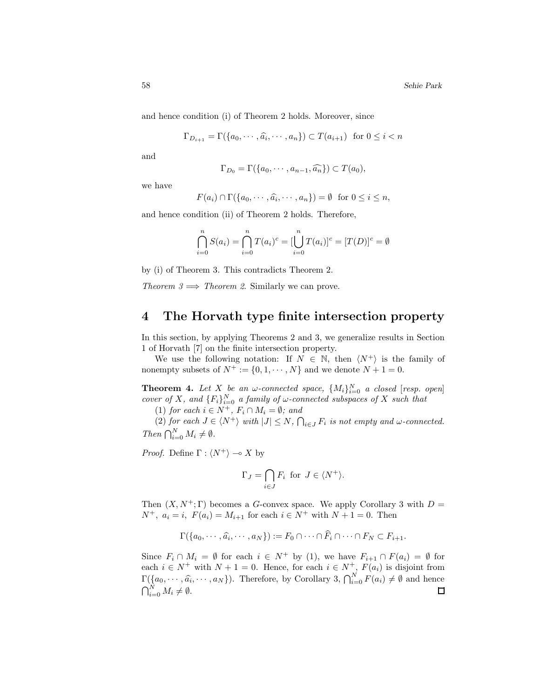and hence condition (i) of Theorem 2 holds. Moreover, since

$$
\Gamma_{D_{i+1}} = \Gamma(\{a_0, \cdots, \widehat{a_i}, \cdots, a_n\}) \subset T(a_{i+1}) \text{ for } 0 \le i < n
$$

and

$$
\Gamma_{D_0} = \Gamma(\{a_0, \cdots, a_{n-1}, \widehat{a_n}\}) \subset T(a_0),
$$

we have

$$
F(a_i) \cap \Gamma(\{a_0, \cdots, \widehat{a_i}, \cdots, a_n\}) = \emptyset \text{ for } 0 \le i \le n,
$$

and hence condition (ii) of Theorem 2 holds. Therefore,

$$
\bigcap_{i=0}^{n} S(a_i) = \bigcap_{i=0}^{n} T(a_i)^c = [\bigcup_{i=0}^{n} T(a_i)]^c = [T(D)]^c = \emptyset
$$

by (i) of Theorem 3. This contradicts Theorem 2.

*Theorem 3*  $\implies$  *Theorem 2.* Similarly we can prove.

### **4 The Horvath type finite intersection property**

In this section, by applying Theorems 2 and 3, we generalize results in Section 1 of Horvath [7] on the finite intersection property.

We use the following notation: If  $N \in \mathbb{N}$ , then  $\langle N^+ \rangle$  is the family of nonempty subsets of  $N^+ := \{0, 1, \dots, N\}$  and we denote  $N + 1 = 0$ .

**Theorem 4.** Let *X* be an *w*-connected space,  $\{M_i\}_{i=0}^N$  a closed [resp. open] *cover of X, and*  ${F_i}_{i=0}^N$  *a family of*  $\omega$ *-connected subspaces of X such that* 

(1) *for each*  $i \in N^+$ *,*  $F_i \cap M_i = \emptyset$ *; and* 

 $(2)$  *for each*  $J \in \langle N^+ \rangle$  *with*  $|J| \leq N$ ,  $\bigcap_{i \in J} F_i$  *is not empty and ω-connected. Then*  $\bigcap_{i=0}^{N} M_i \neq \emptyset$ .

*Proof.* Define  $\Gamma : \langle N^+ \rangle \longrightarrow X$  by

$$
\Gamma_J = \bigcap_{i \in J} F_i \text{ for } J \in \langle N^+ \rangle.
$$

Then  $(X, N^+; \Gamma)$  becomes a *G*-convex space. We apply Corollary 3 with  $D =$ *N*<sup>+</sup>,  $a_i = i$ ,  $F(a_i) = M_{i+1}$  for each  $i \in N^+$  with  $N + 1 = 0$ . Then

$$
\Gamma(\{a_0,\cdots,\widehat{a_i},\cdots,a_N\}):=F_0\cap\cdots\cap\widehat{F}_i\cap\cdots\cap F_N\subset F_{i+1}.
$$

Since  $F_i \cap M_i = \emptyset$  for each  $i \in N^+$  by (1), we have  $F_{i+1} \cap F(a_i) = \emptyset$  for each  $i \in N^+$  with  $N + 1 = 0$ . Hence, for each  $i \in N^+$ ,  $F(a_i)$  is disjoint from  $\Gamma(\{a_0,\dots,\widehat{a_i},\dots,a_N\})$ . Therefore, by Corollary 3,  $\bigcap_{i=0}^N F(a_i) \neq \emptyset$  and hence  $\bigcap_{i=0}^N M_i \neq \emptyset$ .  $\Box$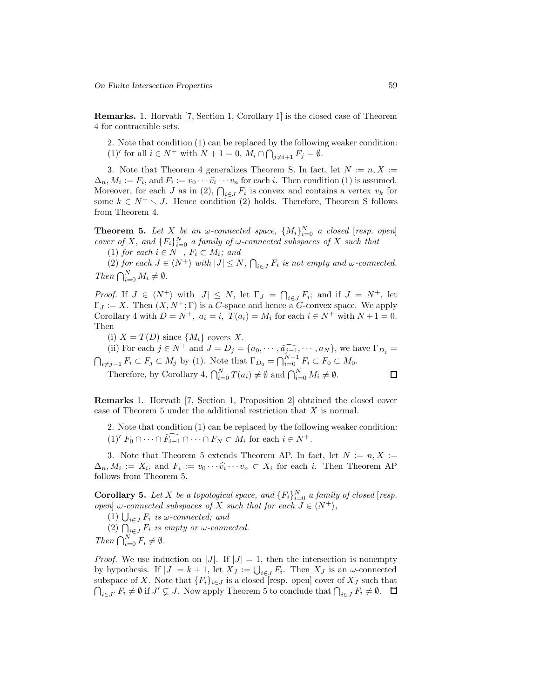**Remarks.** 1. Horvath [7, Section 1, Corollary 1] is the closed case of Theorem 4 for contractible sets.

2. Note that condition (1) can be replaced by the following weaker condition:  $(1)'$  for all  $i \in N^+$  with  $N + 1 = 0$ ,  $M_i \cap \bigcap_{j \neq i+1}^{\infty} F_j = \emptyset$ .

3. Note that Theorem 4 generalizes Theorem S. In fact, let  $N := n, X :=$  $\Delta_n$ ,  $M_i := F_i$ , and  $F_i := v_0 \cdots \widehat{v}_i \cdots v_n$  for each *i*. Then condition (1) is assumed. Moreover, for each *J* as in (2),  $\bigcap_{i \in J} F_i$  is convex and contains a vertex  $v_k$  for some  $k \in N^+ \setminus J$ . Hence condition (2) holds. Therefore, Theorem S follows from Theorem 4.

**Theorem 5.** Let *X* be an *w*-connected space,  $\{M_i\}_{i=0}^N$  a closed [resp. open] *cover of X, and*  ${F_i}_{i=0}^N$  *a family of*  $\omega$ *-connected subspaces of X such that* 

(1) *for each*  $i \in N^+$ *,*  $F_i \subset M_i$ *; and* 

 $(2)$  *for each*  $J \in \langle N^+ \rangle$  *with*  $|J| \leq N$ ,  $\bigcap_{i \in J} F_i$  *is not empty and ω-connected. Then*  $\bigcap_{i=0}^{N} M_i \neq \emptyset$ .

*Proof.* If  $J \in \langle N^+ \rangle$  with  $|J| \leq N$ , let  $\Gamma_J = \bigcap_{i \in J} F_i$ ; and if  $J = N^+$ , let  $\Gamma_J := X$ . Then  $(X, N^+; \Gamma)$  is a *C*-space and hence a *G*-convex space. We apply Corollary 4 with  $D = N^+$ ,  $a_i = i$ ,  $T(a_i) = M_i$  for each  $i \in N^+$  with  $N+1 = 0$ . Then

(i)  $X = T(D)$  since  $\{M_i\}$  covers X.

(ii) For each  $j \in N^+$  and  $J = D_j = \{a_0, \dots, \widehat{a_{j-1}}, \dots, a_N\}$ , we have  $\Gamma_{D_j} = \bigcap_{i \neq j-1} F_i \subset F_j \subset M_j$  by (1). Note that  $\Gamma_{D_0} = \bigcap_{i=0}^{N-1} F_i \subset F_0 \subset M_0$ .

Therefore, by Corollary 4,  $\bigcap_{i=0}^{N} T(a_i) \neq \emptyset$  and  $\bigcap_{i=0}^{N} M_i \neq \emptyset$ .

**Remarks** 1. Horvath [7, Section 1, Proposition 2] obtained the closed cover case of Theorem 5 under the additional restriction that *X* is normal.

2. Note that condition (1) can be replaced by the following weaker condition:  $(1)^{t} F_0 \cap \cdots \cap \widehat{F_{i-1}} \cap \cdots \cap F_N \subset M_i$  for each  $i \in N^+$ .

3. Note that Theorem 5 extends Theorem AP. In fact, let  $N := n, X :=$  $\Delta_n, M_i := X_i$ , and  $F_i := v_0 \cdots \hat{v_i} \cdots v_n \subset X_i$  for each *i*. Then Theorem AP follows from Theorem 5.

**Corollary 5.** Let *X* be a topological space, and  ${F_i}_{i=0}^N$  a family of closed [resp. *open*]  $\omega$ -connected subspaces of *X* such that for each  $J \in \langle N^+ \rangle$ ,

 $(1)$   $\bigcup_{i \in J} F_i$  *is*  $\omega$ -connected; and

 $(2)$   $\bigcap_{i \in J}^{\infty} F_i$  *is empty or*  $\omega$ *-connected. Then*  $\bigcap_{i=0}^{N} F_i \neq \emptyset$ .

*Proof.* We use induction on |*J*|. If  $|J| = 1$ , then the intersection is nonempty by hypothesis. If  $|J| = k + 1$ , let  $X_J := \bigcup_{i \in J} F_i$ . Then  $X_J$  is an *ω*-connected subspace of *X*. Note that  ${F_i}_{i \in J}$  is a closed [resp. open] cover of  $X_J$  such that  $\bigcap_{i\in J'} F_i \neq \emptyset$  if  $J' \subsetneq J$ . Now apply Theorem 5 to conclude that  $\bigcap_{i\in J} F_i \neq \emptyset$ .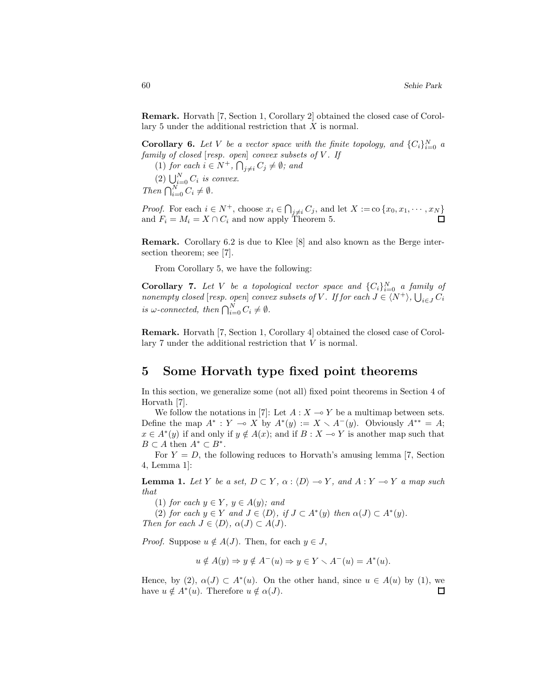**Remark.** Horvath [7, Section 1, Corollary 2] obtained the closed case of Corollary 5 under the additional restriction that *X* is normal.

**Corollary 6.** Let V be a vector space with the finite topology, and  $\{C_i\}_{i=0}^N$  a *family of closed* [*resp. open*] *convex subsets of V . If*

 $(1)$  *for each*  $i \in N^+$ ,  $\bigcap_{j \neq i} C_j \neq \emptyset$ ; and

 $(2) \bigcup_{i=0}^{N} C_i$  *is convex.* 

*Then*  $\bigcap_{i=0}^{N} C_i \neq \emptyset$ .

*Proof.* For each  $i \in N^+$ , choose  $x_i \in \bigcap_{j \neq i} C_j$ , and let  $X := \text{co} \{x_0, x_1, \dots, x_N\}$ and  $F_i = M_i = X \cap C_i$  and now apply Theorem 5.

**Remark.** Corollary 6.2 is due to Klee [8] and also known as the Berge intersection theorem; see [7].

From Corollary 5, we have the following:

**Corollary 7.** Let V be a topological vector space and  $\{C_i\}_{i=0}^N$  a family of *nonempty closed* [*resp. open*] *convex subsets of V . If for each J* ∈ h*N* <sup>+</sup>i*,* S *<sup>i</sup>*∈*<sup>J</sup> C<sup>i</sup> is*  $\omega$ -connected, then  $\bigcap_{i=0}^{N} C_i \neq \emptyset$ .

**Remark.** Horvath [7, Section 1, Corollary 4] obtained the closed case of Corollary 7 under the additional restriction that *V* is normal.

### **5 Some Horvath type fixed point theorems**

In this section, we generalize some (not all) fixed point theorems in Section 4 of Horvath [7].

We follow the notations in [7]: Let  $A: X \to Y$  be a multimap between sets. Define the map  $A^* : Y \to X$  by  $A^*(y) := X \times A^-(y)$ . Obviously  $A^{**} = A$ ;  $x \in A^*(y)$  if and only if  $y \notin A(x)$ ; and if  $B : X \to Y$  is another map such that *B* ⊂ *A* then  $A^*$  ⊂  $B^*$ .

For  $Y = D$ , the following reduces to Horvath's amusing lemma [7, Section 4, Lemma 1]:

**Lemma 1.** *Let Y be a set,*  $D \subset Y$ *,*  $\alpha$  :  $\langle D \rangle \rightarrow Y$ *,* and  $A : Y \rightarrow Y$  *a map such that*

(1) *for each*  $y \in Y$ *,*  $y \in A(y)$ *; and* 

(2) *for each*  $y \in Y$  *and*  $J \in \langle D \rangle$ , *if*  $J \subset A^*(y)$  *then*  $\alpha(J) \subset A^*(y)$ *. Then for each*  $J \in \langle D \rangle$ ,  $\alpha(J) \subset A(J)$ .

*Proof.* Suppose  $u \notin A(J)$ . Then, for each  $y \in J$ ,

$$
u \notin A(y) \Rightarrow y \notin A^{-}(u) \Rightarrow y \in Y \setminus A^{-}(u) = A^{*}(u).
$$

Hence, by (2),  $\alpha(J) \subset A^*(u)$ . On the other hand, since  $u \in A(u)$  by (1), we have  $u \notin A^*(u)$ . Therefore  $u \notin \alpha(J)$ . П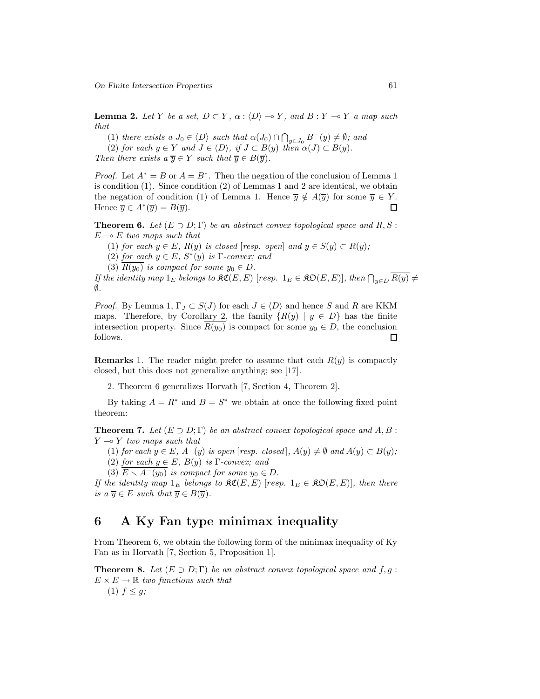On Finite Intersection Properties 61

**Lemma 2.** Let *Y* be a set,  $D \subset Y$ ,  $\alpha$  :  $\langle D \rangle \rightarrow Y$ , and  $B : Y \rightarrow Y$  a map such *that*

 $(1)$  *there exists a*  $J_0 \in \langle D \rangle$  *such that*  $\alpha(J_0) \cap \bigcap_{y \in J_0} B^-(y) \neq \emptyset$ *; and* 

 $(2)$  *for each*  $y \in Y$  *and*  $J \in \langle D \rangle$ *, if*  $J \subset B(y)$  *then*  $\alpha(J) \subset B(y)$ *.* 

*Then there exists a*  $\overline{y} \in Y$  *such that*  $\overline{y} \in B(\overline{y})$ *.* 

*Proof.* Let  $A^* = B$  or  $A = B^*$ . Then the negation of the conclusion of Lemma 1 is condition (1). Since condition (2) of Lemmas 1 and 2 are identical, we obtain the negation of condition (1) of Lemma 1. Hence  $\overline{y} \notin A(\overline{y})$  for some  $\overline{y} \in Y$ . Hence  $\overline{y} \in A^*(\overline{y}) = B(\overline{y}).$  $\Box$ 

**Theorem 6.** *Let*  $(E \supset D; \Gamma)$  *be an abstract convex topological space and*  $R, S$ :  $E \multimap E$  *two maps such that* 

(1) *for each*  $y \in E$ *,*  $R(y)$  *is closed* [*resp. open*] *and*  $y \in S(y) \subset R(y)$ *;* 

(2) *for each*  $y \in E$ *,*  $S^*(y)$  *is*  $\Gamma$ *-convex; and* 

(3)  $R(y_0)$  *is compact for some*  $y_0 \in D$ *.* 

*If the identity map*  $1_E$  *belongs to*  $\mathfrak{SC}(E, E)$  [*resp.*  $1_E \in \mathfrak{SO}(E, E)$ ]*, then*  $\bigcap_{y \in D} \overline{R(y)} \neq$ ∅*.*

*Proof.* By Lemma 1,  $\Gamma_J \subset S(J)$  for each  $J \in \langle D \rangle$  and hence *S* and *R* are KKM maps. Therefore, by Corollary 2, the family  ${R(y) | y \in D}$  has the finite intersection property. Since  $R(y_0)$  is compact for some  $y_0 \in D$ , the conclusion follows. □

**Remarks** 1. The reader might prefer to assume that each  $R(y)$  is compactly closed, but this does not generalize anything; see [17].

2. Theorem 6 generalizes Horvath [7, Section 4, Theorem 2].

By taking  $A = R^*$  and  $B = S^*$  we obtain at once the following fixed point theorem:

**Theorem 7.** *Let*  $(E \supset D; \Gamma)$  *be an abstract convex topological space and*  $A, B$ :  $Y \rightarrow Y$  *two maps such that* 

(1) *for each*  $y \in E$ *,*  $A^{-}(y)$  *is open* [*resp. closed*],  $A(y) \neq ∅$  *and*  $A(y) \subset B(y)$ *;* 

(2) *for each*  $y \in E$ *,*  $B(y)$  *is*  $\Gamma$ *-convex; and* 

(3)  $E \setminus A^{-}(y_0)$  *is compact for some*  $y_0 \in D$ *.* 

*If the identity map*  $1_E$  *belongs to*  $\Re\mathfrak{C}(E,E)$  [*resp.*  $1_E \in \Re\mathfrak{O}(E,E)$ ]*, then there is a*  $\overline{y} \in E$  *such that*  $\overline{y} \in B(\overline{y})$ *.* 

### **6 A Ky Fan type minimax inequality**

From Theorem 6, we obtain the following form of the minimax inequality of Ky Fan as in Horvath [7, Section 5, Proposition 1].

**Theorem 8.** *Let*  $(E \supset D; \Gamma)$  *be an abstract convex topological space and*  $f, g$ :  $E \times E \rightarrow \mathbb{R}$  *two functions such that* (1)  $f \leq g$ ;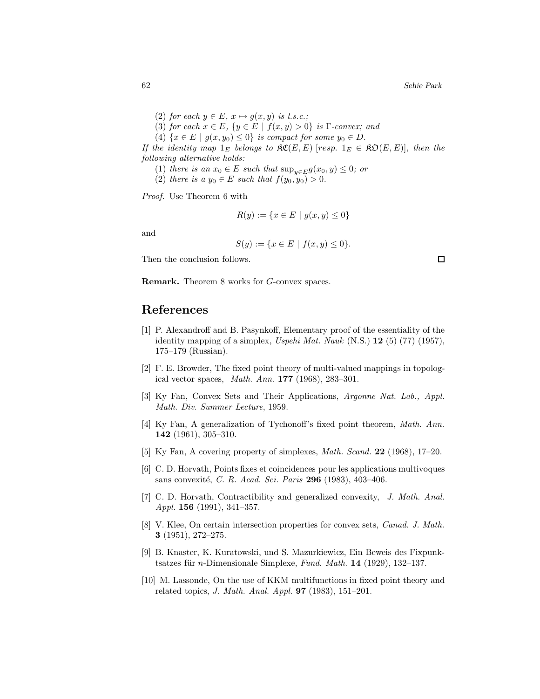- (2) *for each*  $y \in E$ ,  $x \mapsto g(x, y)$  *is l.s.c.*;
- (3) *for each*  $x \in E$ *,*  $\{y \in E \mid f(x, y) > 0\}$  *is* Γ*-convex; and*
- (4)  $\{x \in E \mid g(x, y_0) \le 0\}$  *is compact for some*  $y_0 \in D$ *.*

*If the identity map*  $1_E$  *belongs to*  $\mathfrak{RC}(E, E)$  [*resp.*  $1_E \in \mathfrak{RO}(E, E)$ ]*, then the following alternative holds:*

- (1) *there is an*  $x_0 \in E$  *such that*  $\sup_{y \in E} g(x_0, y) \leq 0$ *; or*
- (2) *there is a*  $y_0 \in E$  *such that*  $f(y_0, y_0) > 0$ *.*

*Proof.* Use Theorem 6 with

$$
R(y) := \{ x \in E \mid g(x, y) \le 0 \}
$$

and

$$
S(y) := \{ x \in E \mid f(x, y) \le 0 \}.
$$

Then the conclusion follows.

**Remark.** Theorem 8 works for *G*-convex spaces.

## **References**

- [1] P. Alexandroff and B. Pasynkoff, Elementary proof of the essentiality of the identity mapping of a simplex, *Uspehi Mat. Nauk* (N.S.) **12** (5) (77) (1957), 175–179 (Russian).
- [2] F. E. Browder, The fixed point theory of multi-valued mappings in topological vector spaces, *Math. Ann.* **177** (1968), 283–301.
- [3] Ky Fan, Convex Sets and Their Applications, *Argonne Nat. Lab., Appl. Math. Div. Summer Lecture*, 1959.
- [4] Ky Fan, A generalization of Tychonoff's fixed point theorem, *Math. Ann.* **142** (1961), 305–310.
- [5] Ky Fan, A covering property of simplexes, *Math. Scand.* **22** (1968), 17–20.
- [6] C. D. Horvath, Points fixes et coincidences pour les applications multivoques sans convexit´e, *C. R. Acad. Sci. Paris* **296** (1983), 403–406.
- [7] C. D. Horvath, Contractibility and generalized convexity, *J. Math. Anal. Appl.* **156** (1991), 341–357.
- [8] V. Klee, On certain intersection properties for convex sets, *Canad. J. Math.* **3** (1951), 272–275.
- [9] B. Knaster, K. Kuratowski, und S. Mazurkiewicz, Ein Beweis des Fixpunktsatzes für *n*-Dimensionale Simplexe, *Fund. Math.* **14** (1929), 132–137.
- [10] M. Lassonde, On the use of KKM multifunctions in fixed point theory and related topics, *J. Math. Anal. Appl.* **97** (1983), 151–201.